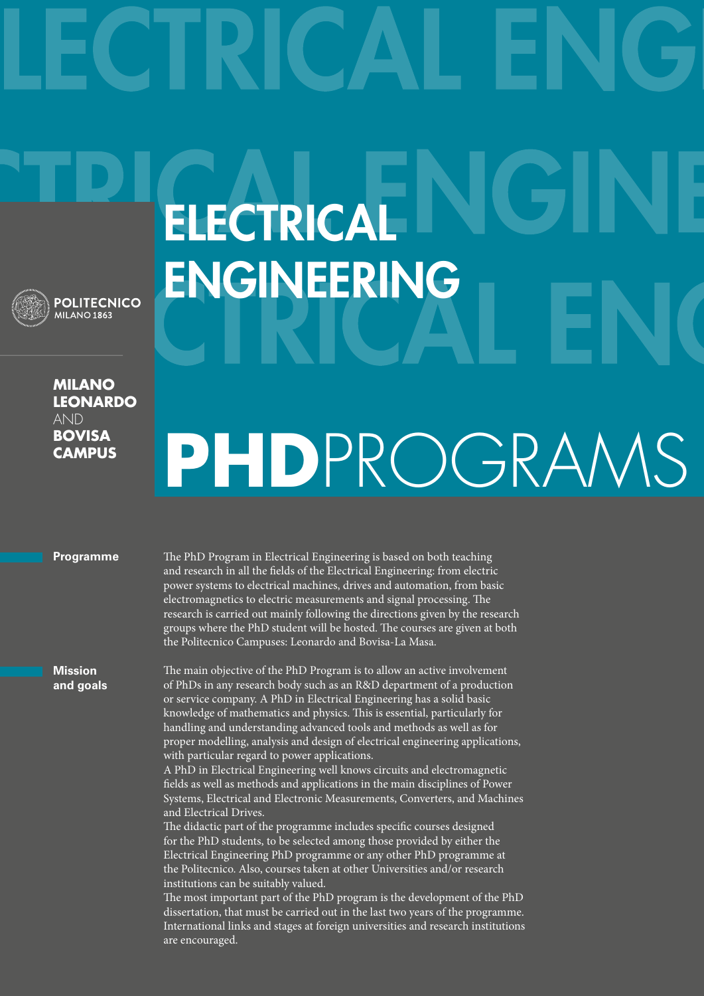

**Milano leonardo**  AND **bovisa campus**

## **ELECTRICAL ENGINEERING**

## **PhD**ProgramS

## **Programme**

The PhD Program in Electrical Engineering is based on both teaching and research in all the fields of the Electrical Engineering: from electric power systems to electrical machines, drives and automation, from basic electromagnetics to electric measurements and signal processing. The research is carried out mainly following the directions given by the research groups where the PhD student will be hosted. The courses are given at both the Politecnico Campuses: Leonardo and Bovisa-La Masa.

**Mission and goals**

The main objective of the PhD Program is to allow an active involvement of PhDs in any research body such as an R&D department of a production or service company. A PhD in Electrical Engineering has a solid basic knowledge of mathematics and physics. This is essential, particularly for handling and understanding advanced tools and methods as well as for proper modelling, analysis and design of electrical engineering applications, with particular regard to power applications.

A PhD in Electrical Engineering well knows circuits and electromagnetic fields as well as methods and applications in the main disciplines of Power Systems, Electrical and Electronic Measurements, Converters, and Machines and Electrical Drives.

The didactic part of the programme includes specific courses designed for the PhD students, to be selected among those provided by either the Electrical Engineering PhD programme or any other PhD programme at the Politecnico. Also, courses taken at other Universities and/or research institutions can be suitably valued.

The most important part of the PhD program is the development of the PhD dissertation, that must be carried out in the last two years of the programme. International links and stages at foreign universities and research institutions are encouraged.